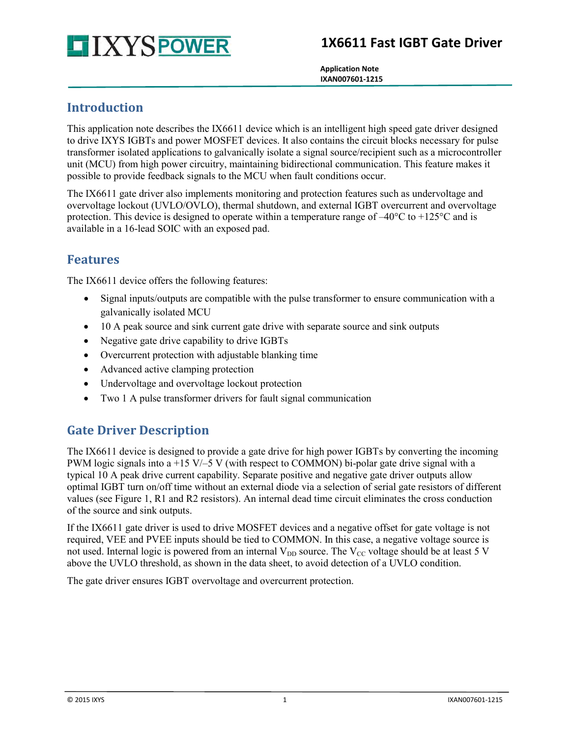# **1X6611 Fast IGBT Gate Driver**



 **Application Note IXAN007601-1215**

#### **Introduction**

This application note describes the IX6611 device which is an intelligent high speed gate driver designed to drive IXYS IGBTs and power MOSFET devices. It also contains the circuit blocks necessary for pulse transformer isolated applications to galvanically isolate a signal source/recipient such as a microcontroller unit (MCU) from high power circuitry, maintaining bidirectional communication. This feature makes it possible to provide feedback signals to the MCU when fault conditions occur.

The IX6611 gate driver also implements monitoring and protection features such as undervoltage and overvoltage lockout (UVLO/OVLO), thermal shutdown, and external IGBT overcurrent and overvoltage protection. This device is designed to operate within a temperature range of  $-40^{\circ}$ C to  $+125^{\circ}$ C and is available in a 16-lead SOIC with an exposed pad.

#### **Features**

The IX6611 device offers the following features:

- Signal inputs/outputs are compatible with the pulse transformer to ensure communication with a galvanically isolated MCU
- 10 A peak source and sink current gate drive with separate source and sink outputs
- Negative gate drive capability to drive IGBTs
- Overcurrent protection with adjustable blanking time
- Advanced active clamping protection
- Undervoltage and overvoltage lockout protection
- Two 1 A pulse transformer drivers for fault signal communication

# **Gate Driver Description**

The IX6611 device is designed to provide a gate drive for high power IGBTs by converting the incoming PWM logic signals into a +15 V/–5 V (with respect to COMMON) bi-polar gate drive signal with a typical 10 A peak drive current capability. Separate positive and negative gate driver outputs allow optimal IGBT turn on/off time without an external diode via a selection of serial gate resistors of different values (see [Figure 1,](#page-1-0) R1 and R2 resistors). An internal dead time circuit eliminates the cross conduction of the source and sink outputs.

If the IX6611 gate driver is used to drive MOSFET devices and a negative offset for gate voltage is not required, VEE and PVEE inputs should be tied to COMMON. In this case, a negative voltage source is not used. Internal logic is powered from an internal  $V_{DD}$  source. The  $V_{CC}$  voltage should be at least 5 V above the UVLO threshold, as shown in the data sheet, to avoid detection of a UVLO condition.

The gate driver ensures IGBT overvoltage and overcurrent protection.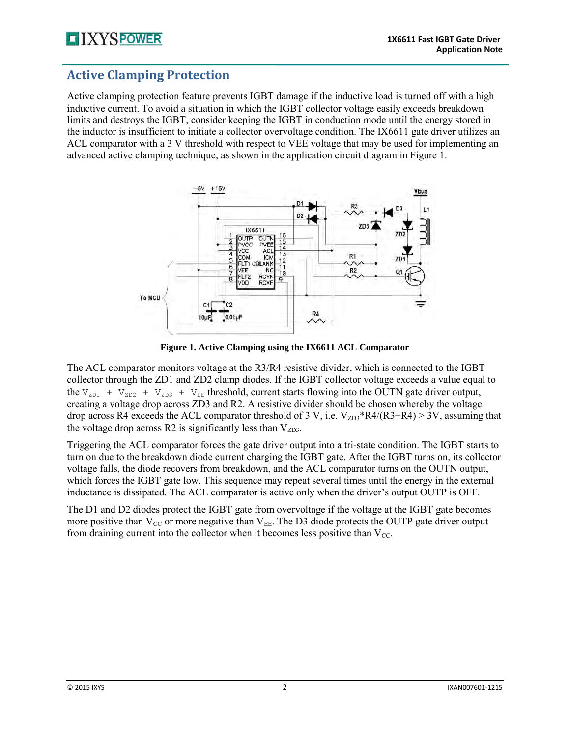# **Active Clamping Protection**

Active clamping protection feature prevents IGBT damage if the inductive load is turned off with a high inductive current. To avoid a situation in which the IGBT collector voltage easily exceeds breakdown limits and destroys the IGBT, consider keeping the IGBT in conduction mode until the energy stored in the inductor is insufficient to initiate a collector overvoltage condition. The IX6611 gate driver utilizes an ACL comparator with a 3 V threshold with respect to VEE voltage that may be used for implementing an advanced active clamping technique, as shown in the application circuit diagram in [Figure 1.](#page-1-0)



**Figure 1. Active Clamping using the IX6611 ACL Comparator** 

<span id="page-1-0"></span>The ACL comparator monitors voltage at the R3/R4 resistive divider, which is connected to the IGBT collector through the ZD1 and ZD2 clamp diodes. If the IGBT collector voltage exceeds a value equal to the  $V_{ZD1}$  +  $V_{ZD2}$  +  $V_{ZD3}$  +  $V_{EE}$  threshold, current starts flowing into the OUTN gate driver output, creating a voltage drop across ZD3 and R2. A resistive divider should be chosen whereby the voltage drop across R4 exceeds the ACL comparator threshold of 3 V, i.e.  $V_{ZD3}$ \*R4/(R3+R4) > 3V, assuming that the voltage drop across R2 is significantly less than  $V_{ZD3}$ .

Triggering the ACL comparator forces the gate driver output into a tri-state condition. The IGBT starts to turn on due to the breakdown diode current charging the IGBT gate. After the IGBT turns on, its collector voltage falls, the diode recovers from breakdown, and the ACL comparator turns on the OUTN output, which forces the IGBT gate low. This sequence may repeat several times until the energy in the external inductance is dissipated. The ACL comparator is active only when the driver's output OUTP is OFF.

The D1 and D2 diodes protect the IGBT gate from overvoltage if the voltage at the IGBT gate becomes more positive than  $V_{\text{CC}}$  or more negative than  $V_{\text{EE}}$ . The D3 diode protects the OUTP gate driver output from draining current into the collector when it becomes less positive than  $V_{\text{CC}}$ .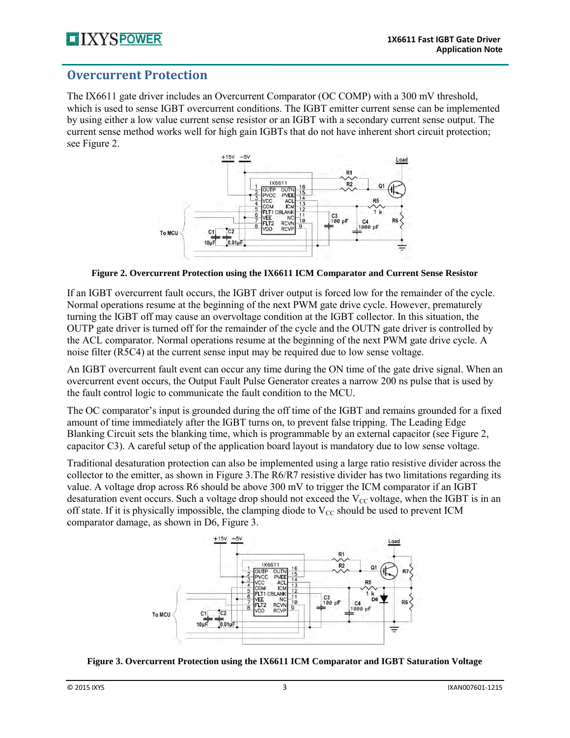#### **Overcurrent Protection**

The IX6611 gate driver includes an Overcurrent Comparator (OC COMP) with a 300 mV threshold, which is used to sense IGBT overcurrent conditions. The IGBT emitter current sense can be implemented by using either a low value current sense resistor or an IGBT with a secondary current sense output. The current sense method works well for high gain IGBTs that do not have inherent short circuit protection; see [Figure 2.](#page-2-0)



**Figure 2. Overcurrent Protection using the IX6611 ICM Comparator and Current Sense Resistor** 

<span id="page-2-0"></span>If an IGBT overcurrent fault occurs, the IGBT driver output is forced low for the remainder of the cycle. Normal operations resume at the beginning of the next PWM gate drive cycle. However, prematurely turning the IGBT off may cause an overvoltage condition at the IGBT collector. In this situation, the OUTP gate driver is turned off for the remainder of the cycle and the OUTN gate driver is controlled by the ACL comparator. Normal operations resume at the beginning of the next PWM gate drive cycle. A noise filter (R5C4) at the current sense input may be required due to low sense voltage.

An IGBT overcurrent fault event can occur any time during the ON time of the gate drive signal. When an overcurrent event occurs, the Output Fault Pulse Generator creates a narrow 200 ns pulse that is used by the fault control logic to communicate the fault condition to the MCU.

The OC comparator's input is grounded during the off time of the IGBT and remains grounded for a fixed amount of time immediately after the IGBT turns on, to prevent false tripping. The Leading Edge Blanking Circuit sets the blanking time, which is programmable by an external capacitor (see [Figure 2,](#page-2-0) capacitor C3). A careful setup of the application board layout is mandatory due to low sense voltage.

Traditional desaturation protection can also be implemented using a large ratio resistive divider across the collector to the emitter, as shown in [Figure 3.](#page-2-1)The R6/R7 resistive divider has two limitations regarding its value. A voltage drop across R6 should be above 300 mV to trigger the ICM comparator if an IGBT desaturation event occurs. Such a voltage drop should not exceed the  $V_{CC}$  voltage, when the IGBT is in an off state. If it is physically impossible, the clamping diode to  $V_{CC}$  should be used to prevent ICM comparator damage, as shown in D6, [Figure 3.](#page-2-1)



<span id="page-2-1"></span>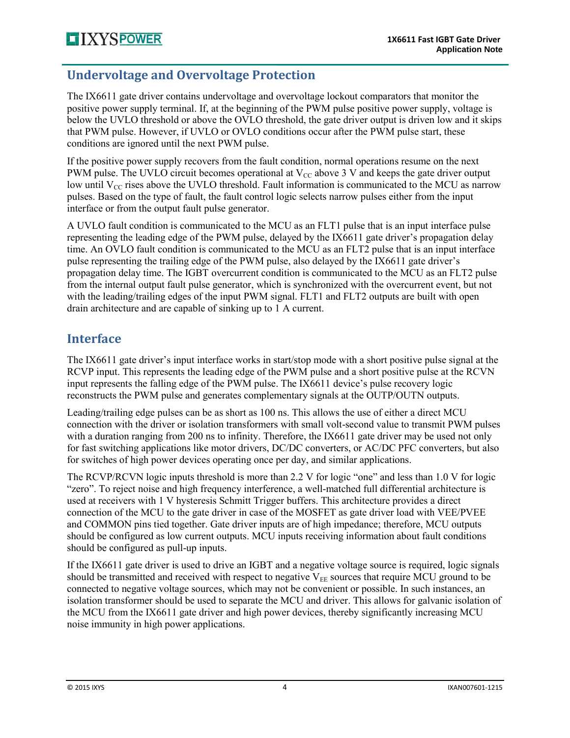#### **Undervoltage and Overvoltage Protection**

The IX6611 gate driver contains undervoltage and overvoltage lockout comparators that monitor the positive power supply terminal. If, at the beginning of the PWM pulse positive power supply, voltage is below the UVLO threshold or above the OVLO threshold, the gate driver output is driven low and it skips that PWM pulse. However, if UVLO or OVLO conditions occur after the PWM pulse start, these conditions are ignored until the next PWM pulse.

If the positive power supply recovers from the fault condition, normal operations resume on the next PWM pulse. The UVLO circuit becomes operational at  $V_{\text{CC}}$  above 3 V and keeps the gate driver output low until  $V_{CC}$  rises above the UVLO threshold. Fault information is communicated to the MCU as narrow pulses. Based on the type of fault, the fault control logic selects narrow pulses either from the input interface or from the output fault pulse generator.

A UVLO fault condition is communicated to the MCU as an FLT1 pulse that is an input interface pulse representing the leading edge of the PWM pulse, delayed by the IX6611 gate driver's propagation delay time. An OVLO fault condition is communicated to the MCU as an FLT2 pulse that is an input interface pulse representing the trailing edge of the PWM pulse, also delayed by the IX6611 gate driver's propagation delay time. The IGBT overcurrent condition is communicated to the MCU as an FLT2 pulse from the internal output fault pulse generator, which is synchronized with the overcurrent event, but not with the leading/trailing edges of the input PWM signal. FLT1 and FLT2 outputs are built with open drain architecture and are capable of sinking up to 1 A current.

#### **Interface**

The IX6611 gate driver's input interface works in start/stop mode with a short positive pulse signal at the RCVP input. This represents the leading edge of the PWM pulse and a short positive pulse at the RCVN input represents the falling edge of the PWM pulse. The IX6611 device's pulse recovery logic reconstructs the PWM pulse and generates complementary signals at the OUTP/OUTN outputs.

Leading/trailing edge pulses can be as short as 100 ns. This allows the use of either a direct MCU connection with the driver or isolation transformers with small volt-second value to transmit PWM pulses with a duration ranging from 200 ns to infinity. Therefore, the IX6611 gate driver may be used not only for fast switching applications like motor drivers, DC/DC converters, or AC/DC PFC converters, but also for switches of high power devices operating once per day, and similar applications.

The RCVP/RCVN logic inputs threshold is more than 2.2 V for logic "one" and less than 1.0 V for logic "zero". To reject noise and high frequency interference, a well-matched full differential architecture is used at receivers with 1 V hysteresis Schmitt Trigger buffers. This architecture provides a direct connection of the MCU to the gate driver in case of the MOSFET as gate driver load with VEE/PVEE and COMMON pins tied together. Gate driver inputs are of high impedance; therefore, MCU outputs should be configured as low current outputs. MCU inputs receiving information about fault conditions should be configured as pull-up inputs.

If the IX6611 gate driver is used to drive an IGBT and a negative voltage source is required, logic signals should be transmitted and received with respect to negative  $V_{EE}$  sources that require MCU ground to be connected to negative voltage sources, which may not be convenient or possible. In such instances, an isolation transformer should be used to separate the MCU and driver. This allows for galvanic isolation of the MCU from the IX6611 gate driver and high power devices, thereby significantly increasing MCU noise immunity in high power applications.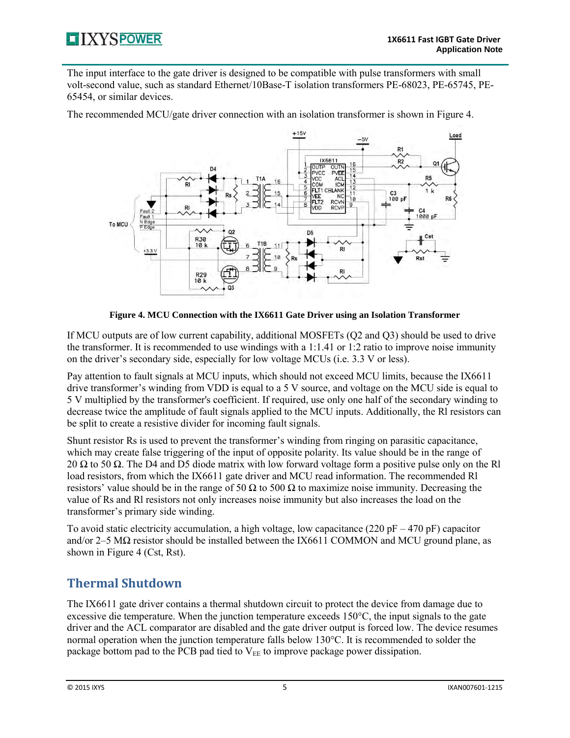

The input interface to the gate driver is designed to be compatible with pulse transformers with small volt-second value, such as standard Ethernet/10Base-T isolation transformers PE-68023, PE-65745, PE-65454, or similar devices.

The recommended MCU/gate driver connection with an isolation transformer is shown in [Figure 4.](#page-4-0)



**Figure 4. MCU Connection with the IX6611 Gate Driver using an Isolation Transformer** 

<span id="page-4-0"></span>If MCU outputs are of low current capability, additional MOSFETs (Q2 and Q3) should be used to drive the transformer. It is recommended to use windings with a 1:1.41 or 1:2 ratio to improve noise immunity on the driver's secondary side, especially for low voltage MCUs (i.e. 3.3 V or less).

Pay attention to fault signals at MCU inputs, which should not exceed MCU limits, because the IX6611 drive transformer's winding from VDD is equal to a 5 V source, and voltage on the MCU side is equal to 5 V multiplied by the transformer's coefficient. If required, use only one half of the secondary winding to decrease twice the amplitude of fault signals applied to the MCU inputs. Additionally, the Rl resistors can be split to create a resistive divider for incoming fault signals.

Shunt resistor Rs is used to prevent the transformer's winding from ringing on parasitic capacitance, which may create false triggering of the input of opposite polarity. Its value should be in the range of 20  $\Omega$  to 50  $\Omega$ . The D4 and D5 diode matrix with low forward voltage form a positive pulse only on the Rl load resistors, from which the IX6611 gate driver and MCU read information. The recommended Rl resistors' value should be in the range of 50  $\Omega$  to 500  $\Omega$  to maximize noise immunity. Decreasing the value of Rs and Rl resistors not only increases noise immunity but also increases the load on the transformer's primary side winding.

To avoid static electricity accumulation, a high voltage, low capacitance (220 pF – 470 pF) capacitor and/or 2–5 MΩ resistor should be installed between the IX6611 COMMON and MCU ground plane, as shown in [Figure 4](#page-4-0) (Cst, Rst).

# **Thermal Shutdown**

The IX6611 gate driver contains a thermal shutdown circuit to protect the device from damage due to excessive die temperature. When the junction temperature exceeds 150°C, the input signals to the gate driver and the ACL comparator are disabled and the gate driver output is forced low. The device resumes normal operation when the junction temperature falls below 130°C. It is recommended to solder the package bottom pad to the PCB pad tied to  $V_{EE}$  to improve package power dissipation.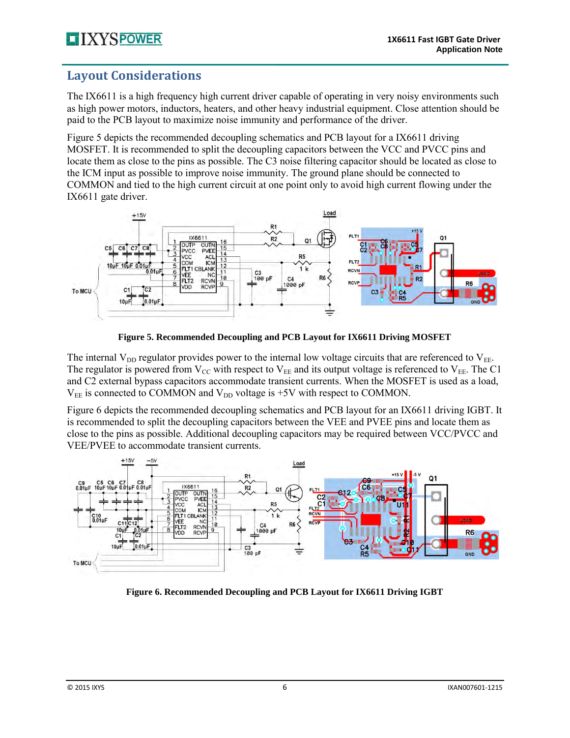#### **Layout Considerations**

The IX6611 is a high frequency high current driver capable of operating in very noisy environments such as high power motors, inductors, heaters, and other heavy industrial equipment. Close attention should be paid to the PCB layout to maximize noise immunity and performance of the driver.

[Figure 5](#page-5-0) depicts the recommended decoupling schematics and PCB layout for a IX6611 driving MOSFET. It is recommended to split the decoupling capacitors between the VCC and PVCC pins and locate them as close to the pins as possible. The C3 noise filtering capacitor should be located as close to the ICM input as possible to improve noise immunity. The ground plane should be connected to COMMON and tied to the high current circuit at one point only to avoid high current flowing under the IX6611 gate driver.



**Figure 5. Recommended Decoupling and PCB Layout for IX6611 Driving MOSFET** 

<span id="page-5-0"></span>The internal  $V_{DD}$  regulator provides power to the internal low voltage circuits that are referenced to  $V_{EE}$ . The regulator is powered from  $V_{CC}$  with respect to  $V_{EE}$  and its output voltage is referenced to  $V_{EE}$ . The C1 and C2 external bypass capacitors accommodate transient currents. When the MOSFET is used as a load,  $V_{EE}$  is connected to COMMON and  $V_{DD}$  voltage is +5V with respect to COMMON.

[Figure 6](#page-5-1) depicts the recommended decoupling schematics and PCB layout for an IX6611 driving IGBT. It is recommended to split the decoupling capacitors between the VEE and PVEE pins and locate them as close to the pins as possible. Additional decoupling capacitors may be required between VCC/PVCC and VEE/PVEE to accommodate transient currents.



<span id="page-5-1"></span>**Figure 6. Recommended Decoupling and PCB Layout for IX6611 Driving IGBT**